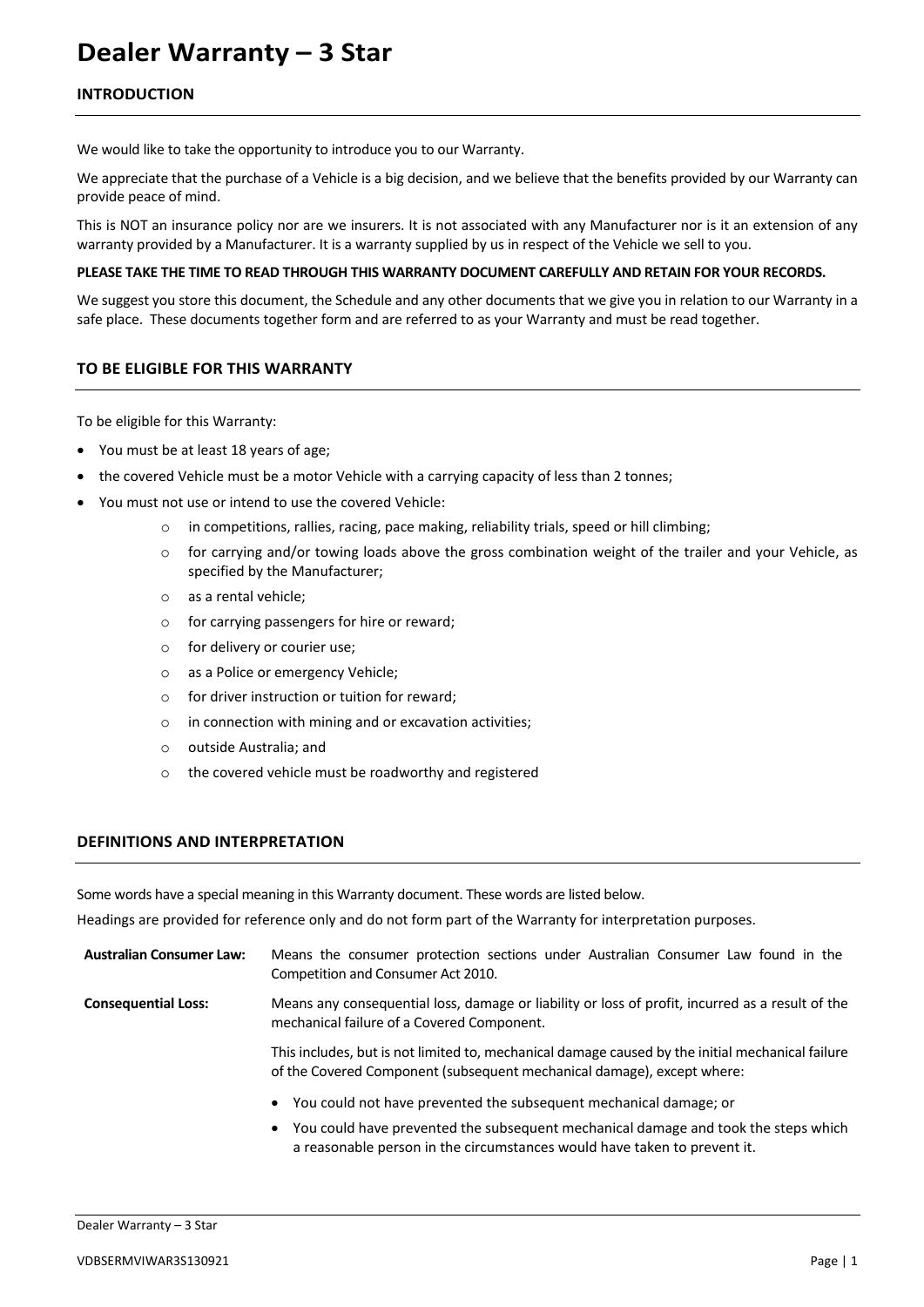# **Dealer Warranty – 3 Star**

# **INTRODUCTION**

We would like to take the opportunity to introduce you to our Warranty.

We appreciate that the purchase of a Vehicle is a big decision, and we believe that the benefits provided by our Warranty can provide peace of mind.

This is NOT an insurance policy nor are we insurers. It is not associated with any Manufacturer nor is it an extension of any warranty provided by a Manufacturer. It is a warranty supplied by us in respect of the Vehicle we sell to you.

# **PLEASE TAKE THE TIME TO READ THROUGH THIS WARRANTY DOCUMENT CAREFULLY AND RETAIN FOR YOUR RECORDS.**

We suggest you store this document, the Schedule and any other documents that we give you in relation to our Warranty in a safe place. These documents together form and are referred to as your Warranty and must be read together.

# **TO BE ELIGIBLE FOR THIS WARRANTY**

To be eligible for this Warranty:

- You must be at least 18 years of age;
- the covered Vehicle must be a motor Vehicle with a carrying capacity of less than 2 tonnes;
- You must not use or intend to use the covered Vehicle:
	- o in competitions, rallies, racing, pace making, reliability trials, speed or hill climbing;
	- o for carrying and/or towing loads above the gross combination weight of the trailer and your Vehicle, as specified by the Manufacturer;
	- o as a rental vehicle;
	- o for carrying passengers for hire or reward;
	- o for delivery or courier use;
	- o as a Police or emergency Vehicle;
	- $\circ$  for driver instruction or tuition for reward:
	- o in connection with mining and or excavation activities;
	- o outside Australia; and
	- o the covered vehicle must be roadworthy and registered

# **DEFINITIONS AND INTERPRETATION**

Some words have a special meaning in this Warranty document. These words are listed below.

Headings are provided for reference only and do not form part of the Warranty for interpretation purposes.

| <b>Australian Consumer Law:</b> | Means the consumer protection sections under Australian Consumer Law found in the<br>Competition and Consumer Act 2010.                        |
|---------------------------------|------------------------------------------------------------------------------------------------------------------------------------------------|
| <b>Consequential Loss:</b>      | Means any consequential loss, damage or liability or loss of profit, incurred as a result of the<br>mechanical failure of a Covered Component. |

This includes, but is not limited to, mechanical damage caused by the initial mechanical failure of the Covered Component (subsequent mechanical damage), except where:

- You could not have prevented the subsequent mechanical damage; or
- You could have prevented the subsequent mechanical damage and took the steps which a reasonable person in the circumstances would have taken to prevent it.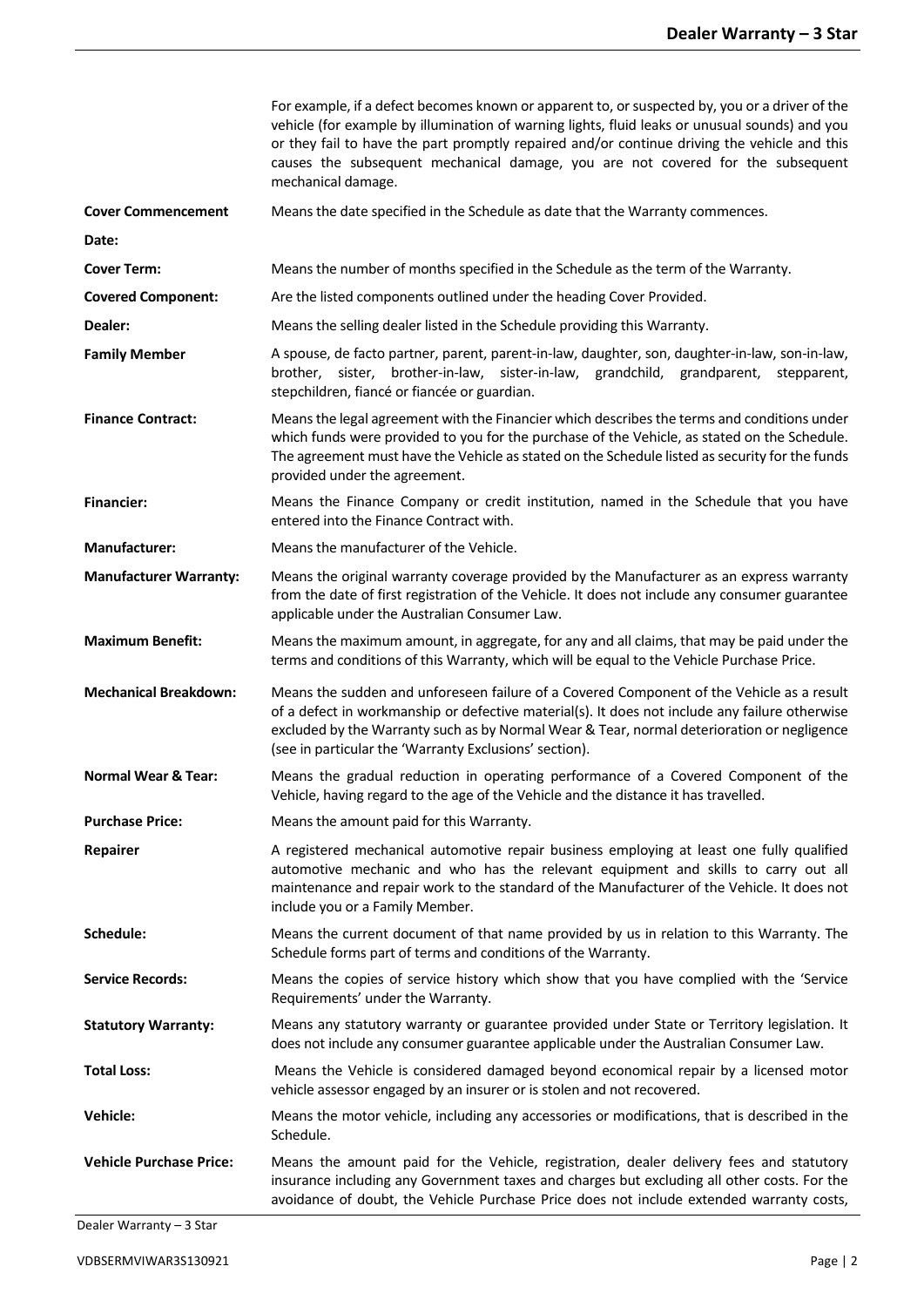|                                | For example, if a defect becomes known or apparent to, or suspected by, you or a driver of the<br>vehicle (for example by illumination of warning lights, fluid leaks or unusual sounds) and you<br>or they fail to have the part promptly repaired and/or continue driving the vehicle and this<br>causes the subsequent mechanical damage, you are not covered for the subsequent<br>mechanical damage. |
|--------------------------------|-----------------------------------------------------------------------------------------------------------------------------------------------------------------------------------------------------------------------------------------------------------------------------------------------------------------------------------------------------------------------------------------------------------|
| <b>Cover Commencement</b>      | Means the date specified in the Schedule as date that the Warranty commences.                                                                                                                                                                                                                                                                                                                             |
| Date:                          |                                                                                                                                                                                                                                                                                                                                                                                                           |
| <b>Cover Term:</b>             | Means the number of months specified in the Schedule as the term of the Warranty.                                                                                                                                                                                                                                                                                                                         |
| <b>Covered Component:</b>      | Are the listed components outlined under the heading Cover Provided.                                                                                                                                                                                                                                                                                                                                      |
| Dealer:                        | Means the selling dealer listed in the Schedule providing this Warranty.                                                                                                                                                                                                                                                                                                                                  |
| <b>Family Member</b>           | A spouse, de facto partner, parent, parent-in-law, daughter, son, daughter-in-law, son-in-law,<br>brother, sister, brother-in-law, sister-in-law, grandchild, grandparent, stepparent,<br>stepchildren, fiancé or fiancée or guardian.                                                                                                                                                                    |
| <b>Finance Contract:</b>       | Means the legal agreement with the Financier which describes the terms and conditions under<br>which funds were provided to you for the purchase of the Vehicle, as stated on the Schedule.<br>The agreement must have the Vehicle as stated on the Schedule listed as security for the funds<br>provided under the agreement.                                                                            |
| <b>Financier:</b>              | Means the Finance Company or credit institution, named in the Schedule that you have<br>entered into the Finance Contract with.                                                                                                                                                                                                                                                                           |
| <b>Manufacturer:</b>           | Means the manufacturer of the Vehicle.                                                                                                                                                                                                                                                                                                                                                                    |
| <b>Manufacturer Warranty:</b>  | Means the original warranty coverage provided by the Manufacturer as an express warranty<br>from the date of first registration of the Vehicle. It does not include any consumer guarantee<br>applicable under the Australian Consumer Law.                                                                                                                                                               |
| <b>Maximum Benefit:</b>        | Means the maximum amount, in aggregate, for any and all claims, that may be paid under the<br>terms and conditions of this Warranty, which will be equal to the Vehicle Purchase Price.                                                                                                                                                                                                                   |
| <b>Mechanical Breakdown:</b>   | Means the sudden and unforeseen failure of a Covered Component of the Vehicle as a result<br>of a defect in workmanship or defective material(s). It does not include any failure otherwise<br>excluded by the Warranty such as by Normal Wear & Tear, normal deterioration or negligence<br>(see in particular the 'Warranty Exclusions' section).                                                       |
| <b>Normal Wear &amp; Tear:</b> | Means the gradual reduction in operating performance of a Covered Component of the<br>Vehicle, having regard to the age of the Vehicle and the distance it has travelled.                                                                                                                                                                                                                                 |
| <b>Purchase Price:</b>         | Means the amount paid for this Warranty.                                                                                                                                                                                                                                                                                                                                                                  |
| Repairer                       | A registered mechanical automotive repair business employing at least one fully qualified<br>automotive mechanic and who has the relevant equipment and skills to carry out all<br>maintenance and repair work to the standard of the Manufacturer of the Vehicle. It does not<br>include you or a Family Member.                                                                                         |
| Schedule:                      | Means the current document of that name provided by us in relation to this Warranty. The<br>Schedule forms part of terms and conditions of the Warranty.                                                                                                                                                                                                                                                  |
| <b>Service Records:</b>        | Means the copies of service history which show that you have complied with the 'Service'<br>Requirements' under the Warranty.                                                                                                                                                                                                                                                                             |
| <b>Statutory Warranty:</b>     | Means any statutory warranty or guarantee provided under State or Territory legislation. It<br>does not include any consumer guarantee applicable under the Australian Consumer Law.                                                                                                                                                                                                                      |
| <b>Total Loss:</b>             | Means the Vehicle is considered damaged beyond economical repair by a licensed motor<br>vehicle assessor engaged by an insurer or is stolen and not recovered.                                                                                                                                                                                                                                            |
| <b>Vehicle:</b>                | Means the motor vehicle, including any accessories or modifications, that is described in the<br>Schedule.                                                                                                                                                                                                                                                                                                |
| <b>Vehicle Purchase Price:</b> | Means the amount paid for the Vehicle, registration, dealer delivery fees and statutory<br>insurance including any Government taxes and charges but excluding all other costs. For the<br>avoidance of doubt, the Vehicle Purchase Price does not include extended warranty costs,                                                                                                                        |

Dealer Warranty – 3 Star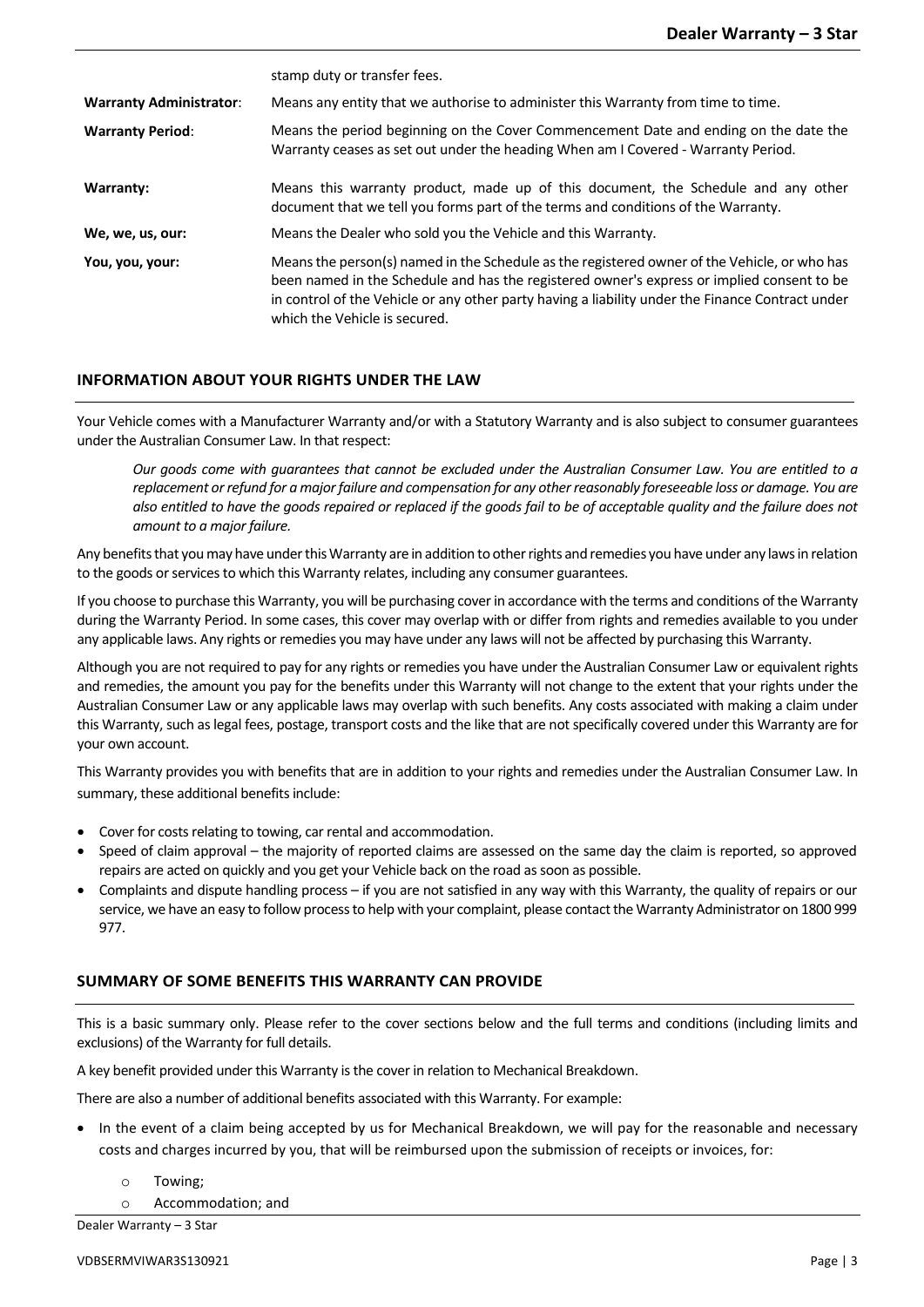|                                | stamp duty or transfer fees.                                                                                                                                                                                                                                                                                                    |
|--------------------------------|---------------------------------------------------------------------------------------------------------------------------------------------------------------------------------------------------------------------------------------------------------------------------------------------------------------------------------|
| <b>Warranty Administrator:</b> | Means any entity that we authorise to administer this Warranty from time to time.                                                                                                                                                                                                                                               |
| <b>Warranty Period:</b>        | Means the period beginning on the Cover Commencement Date and ending on the date the<br>Warranty ceases as set out under the heading When am I Covered - Warranty Period.                                                                                                                                                       |
| Warranty:                      | Means this warranty product, made up of this document, the Schedule and any other<br>document that we tell you forms part of the terms and conditions of the Warranty.                                                                                                                                                          |
| We, we, us, our:               | Means the Dealer who sold you the Vehicle and this Warranty.                                                                                                                                                                                                                                                                    |
| You, you, your:                | Means the person(s) named in the Schedule as the registered owner of the Vehicle, or who has<br>been named in the Schedule and has the registered owner's express or implied consent to be<br>in control of the Vehicle or any other party having a liability under the Finance Contract under<br>which the Vehicle is secured. |

# **INFORMATION ABOUT YOUR RIGHTS UNDER THE LAW**

Your Vehicle comes with a Manufacturer Warranty and/or with a Statutory Warranty and is also subject to consumer guarantees under the Australian Consumer Law. In that respect:

*Our goods come with guarantees that cannot be excluded under the Australian Consumer Law. You are entitled to a replacement or refund for a major failure and compensation for any other reasonably foreseeable loss or damage. You are also entitled to have the goods repaired or replaced if the goods fail to be of acceptable quality and the failure does not amount to a major failure.*

Any benefits that you may have under this Warranty are in addition to other rights and remedies you have under any lawsin relation to the goods or services to which this Warranty relates, including any consumer guarantees.

If you choose to purchase this Warranty, you will be purchasing coverin accordance with the terms and conditions of the Warranty during the Warranty Period. In some cases, this cover may overlap with or differ from rights and remedies available to you under any applicable laws. Any rights or remedies you may have under any laws will not be affected by purchasing this Warranty.

Although you are not required to pay for any rights or remedies you have under the Australian Consumer Law or equivalent rights and remedies, the amount you pay for the benefits under this Warranty will not change to the extent that your rights under the Australian Consumer Law or any applicable laws may overlap with such benefits. Any costs associated with making a claim under this Warranty, such as legal fees, postage, transport costs and the like that are not specifically covered under this Warranty are for your own account.

This Warranty provides you with benefits that are in addition to your rights and remedies under the Australian Consumer Law. In summary, these additional benefits include:

- Cover for costs relating to towing, car rental and accommodation.
- Speed of claim approval the majority of reported claims are assessed on the same day the claim is reported, so approved repairs are acted on quickly and you get your Vehicle back on the road as soon as possible.
- Complaints and dispute handling process if you are not satisfied in any way with this Warranty, the quality of repairs or our service, we have an easy to follow process to help with your complaint, please contact the Warranty Administrator on 1800 999 977.

# **SUMMARY OF SOME BENEFITS THIS WARRANTY CAN PROVIDE**

This is a basic summary only. Please refer to the cover sections below and the full terms and conditions (including limits and exclusions) of the Warranty for full details.

A key benefit provided under this Warranty is the cover in relation to Mechanical Breakdown.

There are also a number of additional benefits associated with this Warranty. For example:

- In the event of a claim being accepted by us for Mechanical Breakdown, we will pay for the reasonable and necessary costs and charges incurred by you, that will be reimbursed upon the submission of receipts or invoices, for:
	- o Towing;
	- o Accommodation; and

Dealer Warranty – 3 Star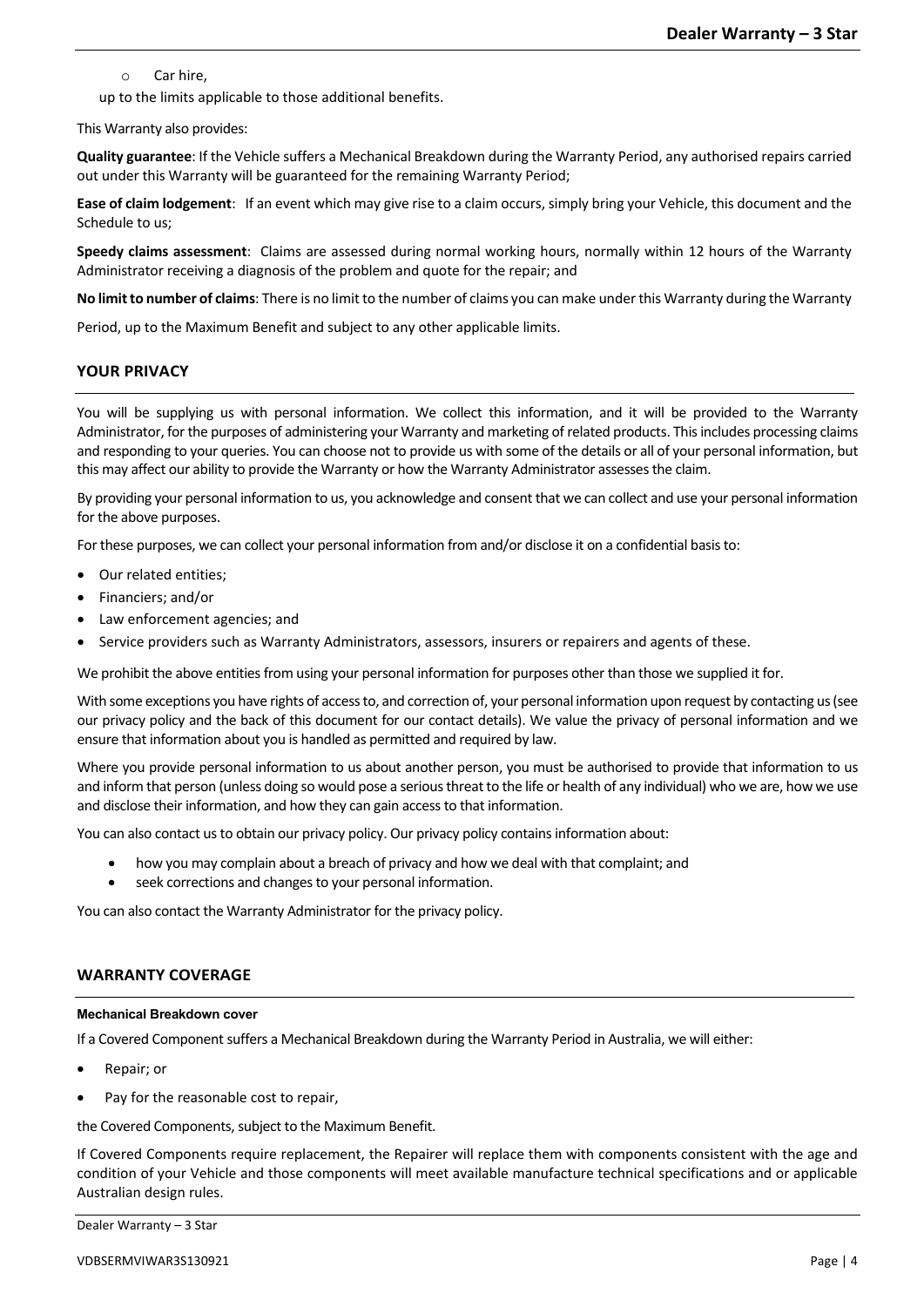o Car hire,

up to the limits applicable to those additional benefits.

This Warranty also provides:

**Quality guarantee**: If the Vehicle suffers a Mechanical Breakdown during the Warranty Period, any authorised repairs carried out under this Warranty will be guaranteed for the remaining Warranty Period;

**Ease of claim lodgement**: If an event which may give rise to a claim occurs, simply bring your Vehicle, this document and the Schedule to us;

**Speedy claims assessment**: Claims are assessed during normal working hours, normally within 12 hours of the Warranty Administrator receiving a diagnosis of the problem and quote for the repair; and

**No limit to number of claims**: There is no limit to the number of claims you can make under this Warranty during the Warranty

Period, up to the Maximum Benefit and subject to any other applicable limits.

# **YOUR PRIVACY**

You will be supplying us with personal information. We collect this information, and it will be provided to the Warranty Administrator, for the purposes of administering your Warranty and marketing of related products. This includes processing claims and responding to your queries. You can choose not to provide us with some of the details or all of your personal information, but this may affect our ability to provide the Warranty or how the Warranty Administrator assessesthe claim.

By providing your personal information to us, you acknowledge and consent that we can collect and use your personal information for the above purposes.

For these purposes, we can collect your personal information from and/or disclose it on a confidential basisto:

- Our related entities;
- Financiers; and/or
- Law enforcement agencies; and
- Service providers such as Warranty Administrators, assessors, insurers or repairers and agents of these.

We prohibit the above entities from using your personal information for purposes other than those we supplied it for.

With some exceptions you have rights of access to, and correction of, your personal information upon request by contacting us (see our privacy policy and the back of this document for our contact details). We value the privacy of personal information and we ensure that information about you is handled as permitted and required by law.

Where you provide personal information to us about another person, you must be authorised to provide that information to us and inform that person (unless doing so would pose a serious threat to the life or health of any individual) who we are, how we use and disclose their information, and how they can gain access to that information.

You can also contact us to obtain our privacy policy. Our privacy policy contains information about:

- how you may complain about a breach of privacy and how we deal with that complaint; and
- seek corrections and changes to your personal information.

You can also contact the Warranty Administrator for the privacy policy.

# **WARRANTY COVERAGE**

#### **Mechanical Breakdown cover**

If a Covered Component suffers a Mechanical Breakdown during the Warranty Period in Australia, we will either:

- Repair; or
- Pay for the reasonable cost to repair,

the Covered Components, subject to the Maximum Benefit.

If Covered Components require replacement, the Repairer will replace them with components consistent with the age and condition of your Vehicle and those components will meet available manufacture technical specifications and or applicable Australian design rules.

```
Dealer Warranty – 3 Star
```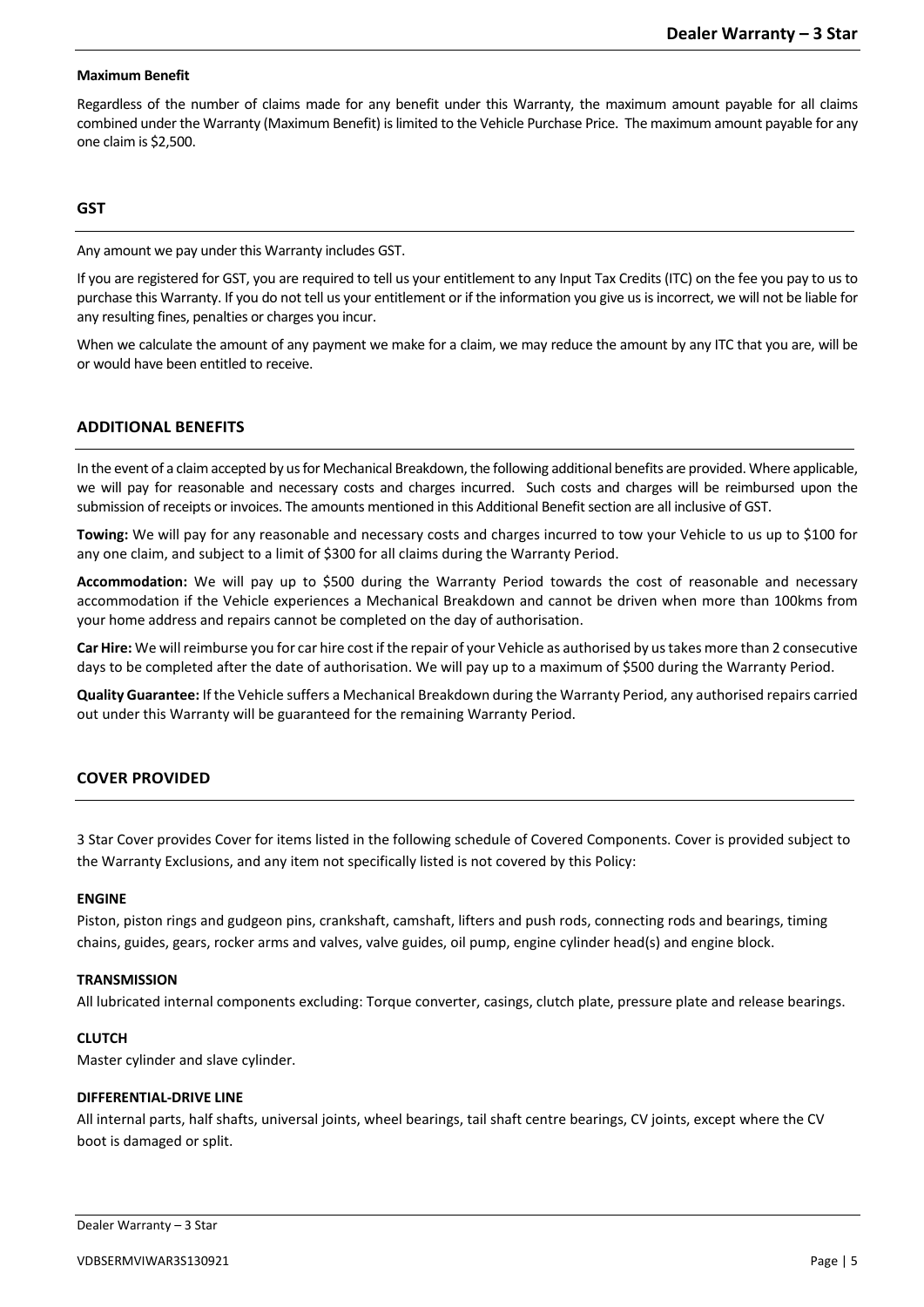# **Maximum Benefit**

Regardless of the number of claims made for any benefit under this Warranty, the maximum amount payable for all claims combined under the Warranty (Maximum Benefit) is limited to the Vehicle Purchase Price. The maximum amount payable for any one claim is \$2,500.

# **GST**

Any amount we pay under this Warranty includes GST.

If you are registered for GST, you are required to tell us your entitlement to any Input Tax Credits (ITC) on the fee you pay to us to purchase this Warranty. If you do not tell us your entitlement or if the information you give us is incorrect, we will not be liable for any resulting fines, penalties or charges you incur.

When we calculate the amount of any payment we make for a claim, we may reduce the amount by any ITC that you are, will be or would have been entitled to receive.

# **ADDITIONAL BENEFITS**

In the event of a claimaccepted by us for Mechanical Breakdown, the following additional benefits are provided. Where applicable, we will pay for reasonable and necessary costs and charges incurred. Such costs and charges will be reimbursed upon the submission of receipts or invoices. The amounts mentioned in this Additional Benefit section are all inclusive of GST.

**Towing:** We will pay for any reasonable and necessary costs and charges incurred to tow your Vehicle to us up to \$100 for any one claim, and subject to a limit of \$300 for all claims during the Warranty Period.

**Accommodation:** We will pay up to \$500 during the Warranty Period towards the cost of reasonable and necessary accommodation if the Vehicle experiences a Mechanical Breakdown and cannot be driven when more than 100kms from your home address and repairs cannot be completed on the day of authorisation.

**Car Hire:** We will reimburse you for car hire cost if the repair of your Vehicle as authorised by us takes more than 2 consecutive days to be completed after the date of authorisation. We will pay up to a maximum of \$500 during the Warranty Period.

**Quality Guarantee:** If the Vehicle suffers a Mechanical Breakdown during the Warranty Period, any authorised repairs carried out under this Warranty will be guaranteed for the remaining Warranty Period.

# **COVER PROVIDED**

3 Star Cover provides Cover for items listed in the following schedule of Covered Components. Cover is provided subject to the Warranty Exclusions, and any item not specifically listed is not covered by this Policy:

# **ENGINE**

Piston, piston rings and gudgeon pins, crankshaft, camshaft, lifters and push rods, connecting rods and bearings, timing chains, guides, gears, rocker arms and valves, valve guides, oil pump, engine cylinder head(s) and engine block.

# **TRANSMISSION**

All lubricated internal components excluding: Torque converter, casings, clutch plate, pressure plate and release bearings.

### **CLUTCH**

Master cylinder and slave cylinder.

# **DIFFERENTIAL-DRIVE LINE**

All internal parts, half shafts, universal joints, wheel bearings, tail shaft centre bearings, CV joints, except where the CV boot is damaged or split.

Dealer Warranty – 3 Star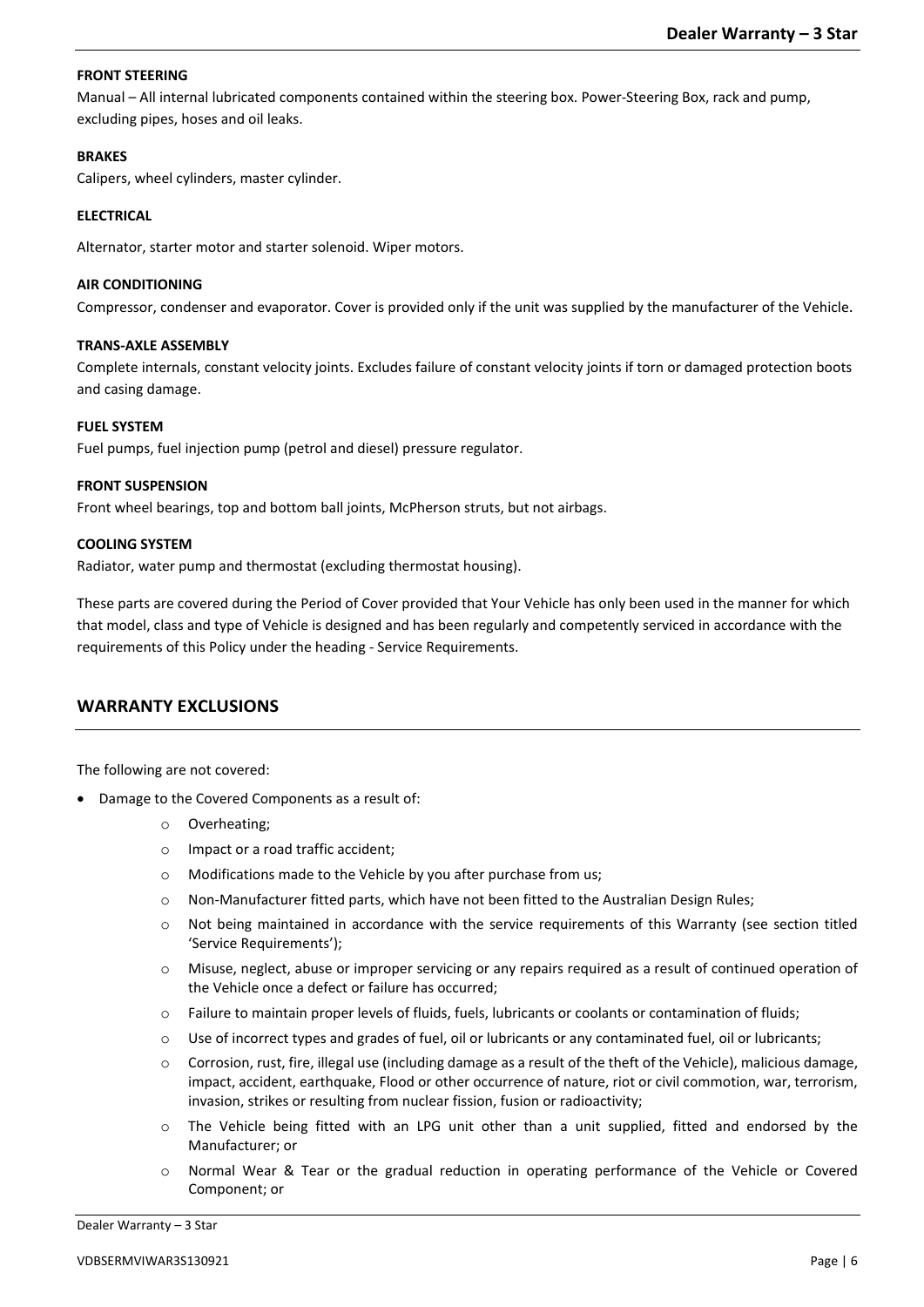# **FRONT STEERING**

Manual – All internal lubricated components contained within the steering box. Power-Steering Box, rack and pump, excluding pipes, hoses and oil leaks.

### **BRAKES**

Calipers, wheel cylinders, master cylinder.

# **ELECTRICAL**

Alternator, starter motor and starter solenoid. Wiper motors.

# **AIR CONDITIONING**

Compressor, condenser and evaporator. Cover is provided only if the unit was supplied by the manufacturer of the Vehicle.

# **TRANS-AXLE ASSEMBLY**

Complete internals, constant velocity joints. Excludes failure of constant velocity joints if torn or damaged protection boots and casing damage.

# **FUEL SYSTEM**

Fuel pumps, fuel injection pump (petrol and diesel) pressure regulator.

# **FRONT SUSPENSION**

Front wheel bearings, top and bottom ball joints, McPherson struts, but not airbags.

# **COOLING SYSTEM**

Radiator, water pump and thermostat (excluding thermostat housing).

These parts are covered during the Period of Cover provided that Your Vehicle has only been used in the manner for which that model, class and type of Vehicle is designed and has been regularly and competently serviced in accordance with the requirements of this Policy under the heading - Service Requirements.

# **WARRANTY EXCLUSIONS**

The following are not covered:

- Damage to the Covered Components as a result of:
	- o Overheating;
	- o Impact or a road traffic accident;
	- o Modifications made to the Vehicle by you after purchase from us;
	- o Non-Manufacturer fitted parts, which have not been fitted to the Australian Design Rules;
	- o Not being maintained in accordance with the service requirements of this Warranty (see section titled 'Service Requirements');
	- o Misuse, neglect, abuse or improper servicing or any repairs required as a result of continued operation of the Vehicle once a defect or failure has occurred;
	- o Failure to maintain proper levels of fluids, fuels, lubricants or coolants or contamination of fluids;
	- $\circ$  Use of incorrect types and grades of fuel, oil or lubricants or any contaminated fuel, oil or lubricants;
	- $\circ$  Corrosion, rust, fire, illegal use (including damage as a result of the theft of the Vehicle), malicious damage, impact, accident, earthquake, Flood or other occurrence of nature, riot or civil commotion, war, terrorism, invasion, strikes or resulting from nuclear fission, fusion or radioactivity;
	- o The Vehicle being fitted with an LPG unit other than a unit supplied, fitted and endorsed by the Manufacturer; or
	- o Normal Wear & Tear or the gradual reduction in operating performance of the Vehicle or Covered Component; or

Dealer Warranty – 3 Star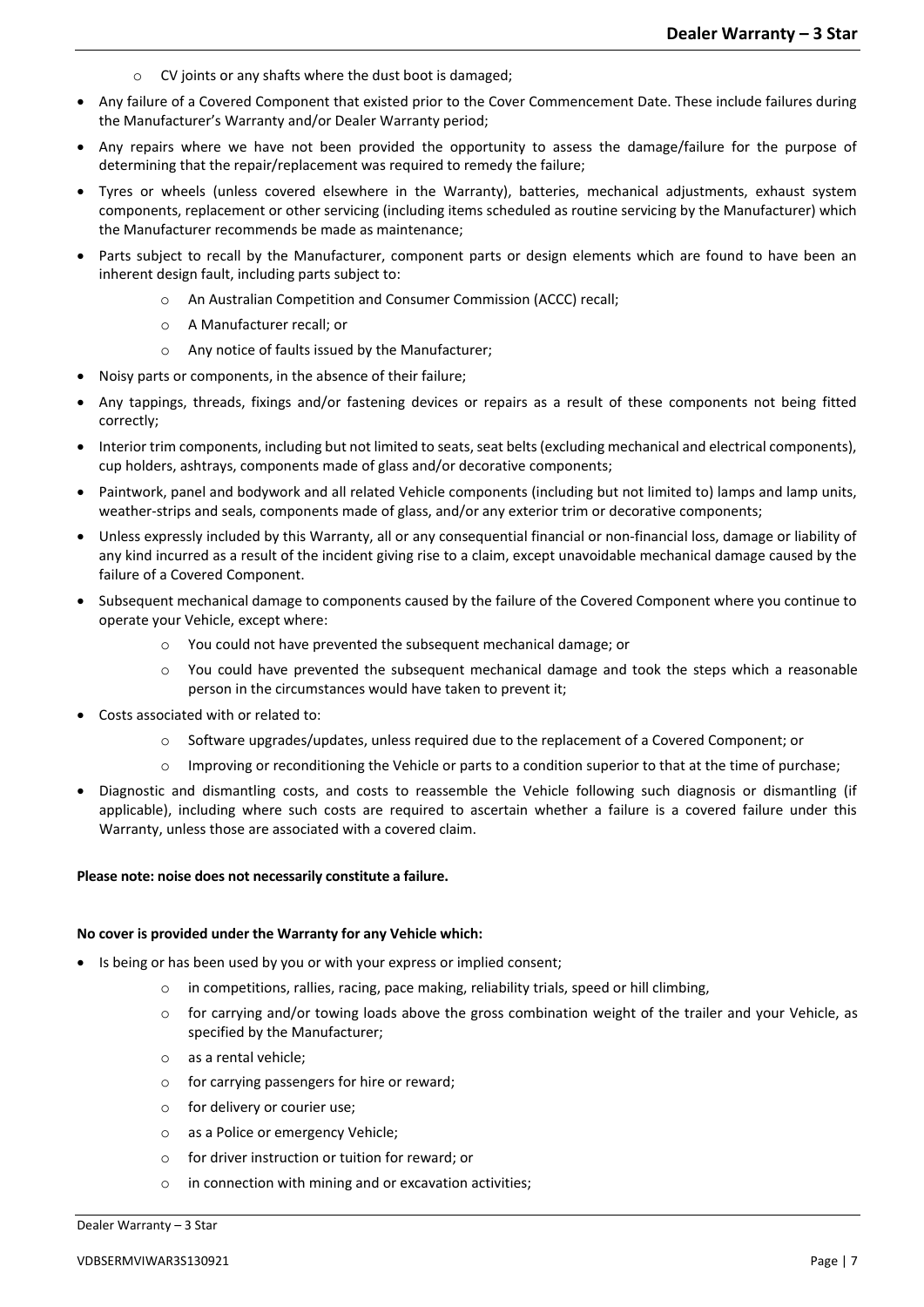- o CV joints or any shafts where the dust boot is damaged;
- Any failure of a Covered Component that existed prior to the Cover Commencement Date. These include failures during the Manufacturer's Warranty and/or Dealer Warranty period;
- Any repairs where we have not been provided the opportunity to assess the damage/failure for the purpose of determining that the repair/replacement was required to remedy the failure;
- Tyres or wheels (unless covered elsewhere in the Warranty), batteries, mechanical adjustments, exhaust system components, replacement or other servicing (including items scheduled as routine servicing by the Manufacturer) which the Manufacturer recommends be made as maintenance;
- Parts subject to recall by the Manufacturer, component parts or design elements which are found to have been an inherent design fault, including parts subject to:
	- o An Australian Competition and Consumer Commission (ACCC) recall;
	- o A Manufacturer recall; or
	- o Any notice of faults issued by the Manufacturer;
- Noisy parts or components, in the absence of their failure;
- Any tappings, threads, fixings and/or fastening devices or repairs as a result of these components not being fitted correctly;
- Interior trim components, including but not limited to seats, seat belts (excluding mechanical and electrical components), cup holders, ashtrays, components made of glass and/or decorative components;
- Paintwork, panel and bodywork and all related Vehicle components (including but not limited to) lamps and lamp units, weather-strips and seals, components made of glass, and/or any exterior trim or decorative components;
- Unless expressly included by this Warranty, all or any consequential financial or non-financial loss, damage or liability of any kind incurred as a result of the incident giving rise to a claim, except unavoidable mechanical damage caused by the failure of a Covered Component.
- Subsequent mechanical damage to components caused by the failure of the Covered Component where you continue to operate your Vehicle, except where:
	- o You could not have prevented the subsequent mechanical damage; or
	- o You could have prevented the subsequent mechanical damage and took the steps which a reasonable person in the circumstances would have taken to prevent it;
- Costs associated with or related to:
	- $\circ$  Software upgrades/updates, unless required due to the replacement of a Covered Component; or
	- Improving or reconditioning the Vehicle or parts to a condition superior to that at the time of purchase;
- Diagnostic and dismantling costs, and costs to reassemble the Vehicle following such diagnosis or dismantling (if applicable), including where such costs are required to ascertain whether a failure is a covered failure under this Warranty, unless those are associated with a covered claim.

### **Please note: noise does not necessarily constitute a failure.**

### **No cover is provided under the Warranty for any Vehicle which:**

- Is being or has been used by you or with your express or implied consent;
	- o in competitions, rallies, racing, pace making, reliability trials, speed or hill climbing,
	- o for carrying and/or towing loads above the gross combination weight of the trailer and your Vehicle, as specified by the Manufacturer;
	- o as a rental vehicle;
	- o for carrying passengers for hire or reward;
	- o for delivery or courier use;
	- o as a Police or emergency Vehicle;
	- o for driver instruction or tuition for reward; or
	- o in connection with mining and or excavation activities;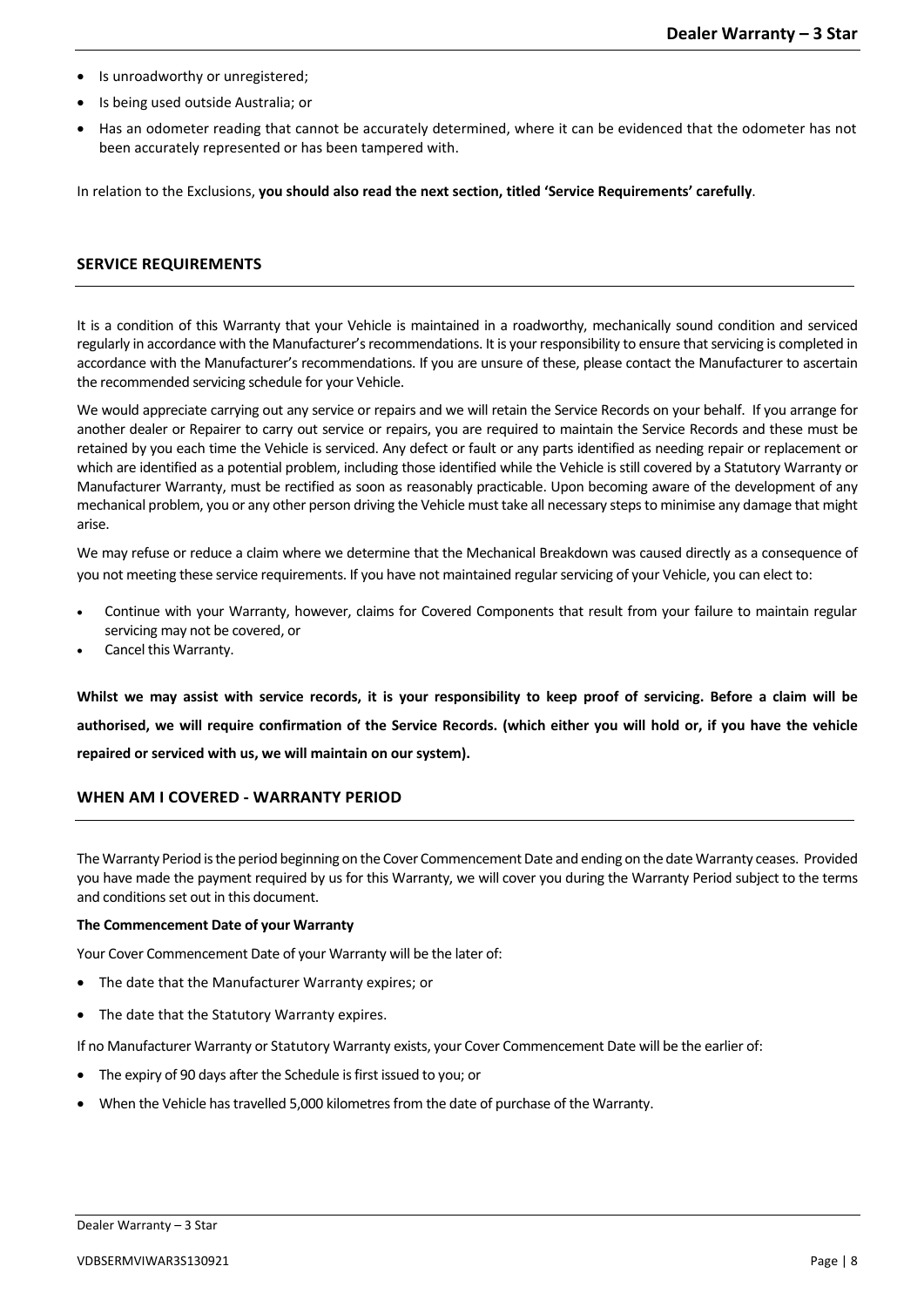- Is unroadworthy or unregistered;
- Is being used outside Australia; or
- Has an odometer reading that cannot be accurately determined, where it can be evidenced that the odometer has not been accurately represented or has been tampered with.

In relation to the Exclusions, **you should also read the next section, titled 'Service Requirements' carefully**.

# **SERVICE REQUIREMENTS**

It is a condition of this Warranty that your Vehicle is maintained in a roadworthy, mechanically sound condition and serviced regularly in accordance with the Manufacturer's recommendations. It is yourresponsibility to ensure that servicing is completed in accordance with the Manufacturer's recommendations. If you are unsure of these, please contact the Manufacturer to ascertain the recommended servicing schedule for your Vehicle.

We would appreciate carrying out any service or repairs and we will retain the Service Records on your behalf. If you arrange for another dealer or Repairer to carry out service or repairs, you are required to maintain the Service Records and these must be retained by you each time the Vehicle is serviced. Any defect or fault or any parts identified as needing repair or replacement or which are identified as a potential problem, including those identified while the Vehicle is still covered by a Statutory Warranty or Manufacturer Warranty, must be rectified as soon as reasonably practicable. Upon becoming aware of the development of any mechanical problem, you or any other person driving the Vehicle must take all necessary steps to minimise any damage that might arise.

We may refuse or reduce a claim where we determine that the Mechanical Breakdown was caused directly as a consequence of you not meeting these service requirements. If you have not maintained regular servicing of your Vehicle, you can elect to:

- Continue with your Warranty, however, claims for Covered Components that result from your failure to maintain regular servicing may not be covered, or
- Cancel this Warranty.

**Whilst we may assist with service records, it is your responsibility to keep proof of servicing. Before a claim will be authorised, we will require confirmation of the Service Records. (which either you will hold or, if you have the vehicle repaired or serviced with us, we will maintain on our system).** 

# **WHEN AM I COVERED - WARRANTY PERIOD**

The Warranty Period is the period beginning on the Cover Commencement Date and ending on the date Warranty ceases. Provided you have made the payment required by us for this Warranty, we will cover you during the Warranty Period subject to the terms and conditions set out in this document.

### **The Commencement Date of your Warranty**

Your Cover Commencement Date of your Warranty will be the later of:

- The date that the Manufacturer Warranty expires; or
- The date that the Statutory Warranty expires.

If no Manufacturer Warranty or Statutory Warranty exists, your Cover Commencement Date will be the earlier of:

- The expiry of 90 days after the Schedule is first issued to you; or
- When the Vehicle has travelled 5,000 kilometres from the date of purchase of the Warranty.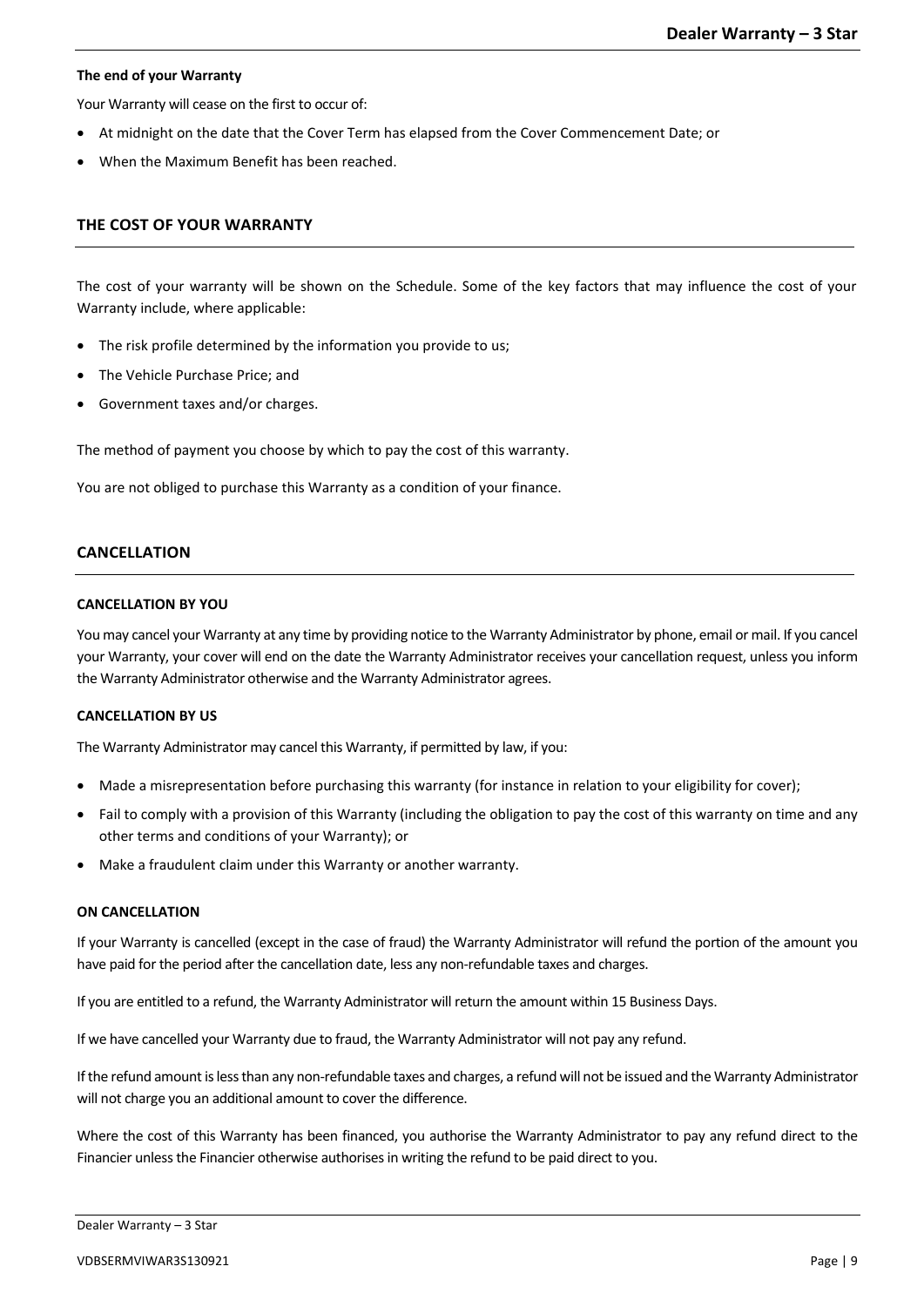# **The end of your Warranty**

Your Warranty will cease on the first to occur of:

- At midnight on the date that the Cover Term has elapsed from the Cover Commencement Date; or
- When the Maximum Benefit has been reached.

# **THE COST OF YOUR WARRANTY**

The cost of your warranty will be shown on the Schedule. Some of the key factors that may influence the cost of your Warranty include, where applicable:

- The risk profile determined by the information you provide to us;
- The Vehicle Purchase Price; and
- Government taxes and/or charges.

The method of payment you choose by which to pay the cost of this warranty.

You are not obliged to purchase this Warranty as a condition of your finance.

# **CANCELLATION**

# **CANCELLATION BY YOU**

You may cancel your Warranty at any time by providing notice to the Warranty Administrator by phone, email or mail. If you cancel your Warranty, your cover will end on the date the Warranty Administrator receives your cancellation request, unless you inform the Warranty Administrator otherwise and the Warranty Administrator agrees.

# **CANCELLATION BY US**

The Warranty Administrator may cancel this Warranty, if permitted by law, if you:

- Made a misrepresentation before purchasing this warranty (for instance in relation to your eligibility for cover);
- Fail to comply with a provision of this Warranty (including the obligation to pay the cost of this warranty on time and any other terms and conditions of your Warranty); or
- Make a fraudulent claim under this Warranty or another warranty.

# **ON CANCELLATION**

If your Warranty is cancelled (except in the case of fraud) the Warranty Administrator will refund the portion of the amount you have paid for the period after the cancellation date, less any non-refundable taxes and charges.

If you are entitled to a refund, the Warranty Administrator will return the amount within 15 Business Days.

If we have cancelled your Warranty due to fraud, the Warranty Administrator will not pay any refund.

If the refund amount is less than any non-refundable taxes and charges, a refund will not be issued and the Warranty Administrator will not charge you an additional amount to cover the difference.

Where the cost of this Warranty has been financed, you authorise the Warranty Administrator to pay any refund direct to the Financier unless the Financier otherwise authorises in writing the refund to be paid direct to you.

```
Dealer Warranty – 3 Star
```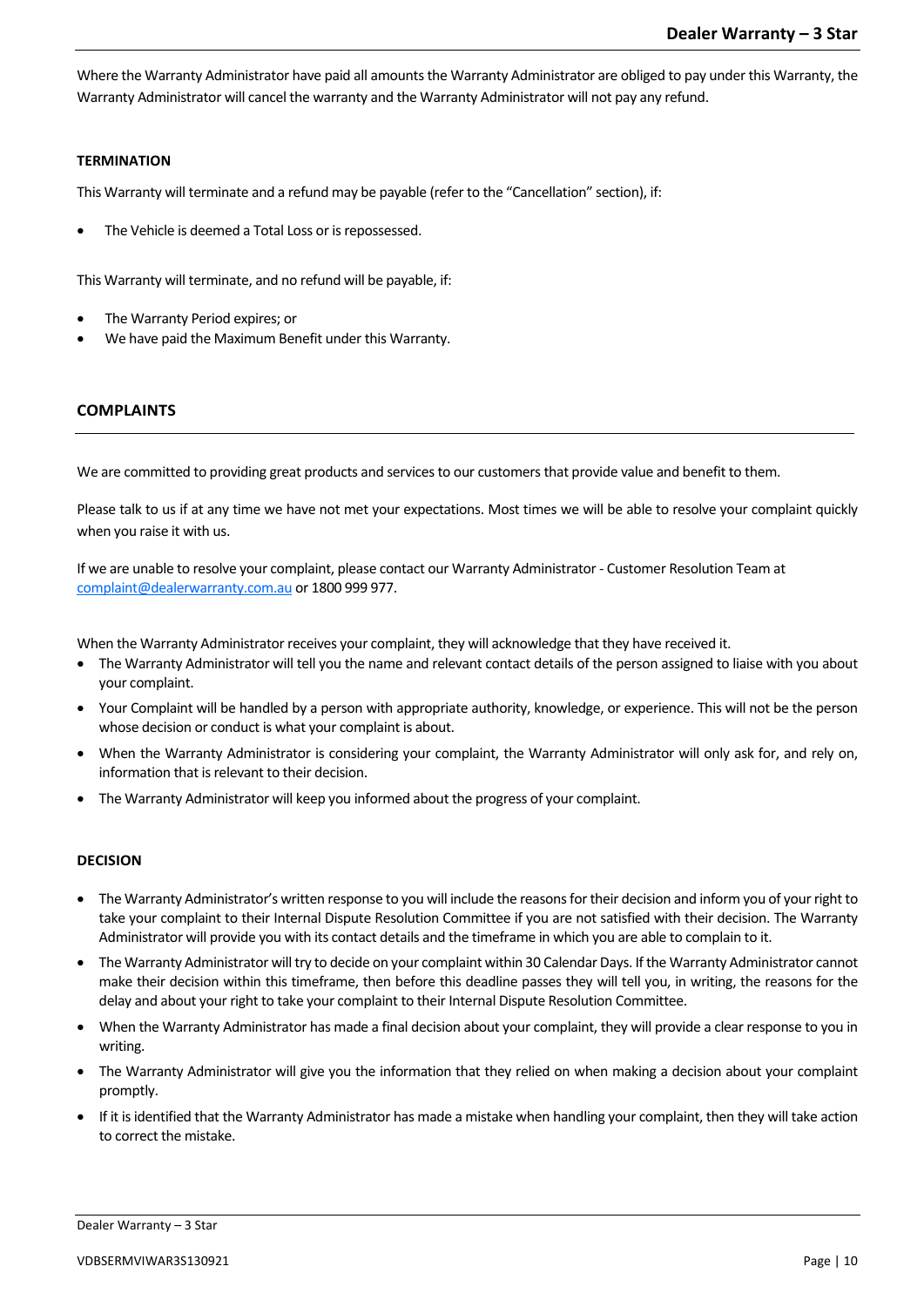Where the Warranty Administrator have paid all amounts the Warranty Administrator are obliged to pay under this Warranty, the Warranty Administrator will cancel the warranty and the Warranty Administrator will not pay any refund.

# **TERMINATION**

This Warranty will terminate and a refund may be payable (refer to the "Cancellation" section), if:

The Vehicle is deemed a Total Loss or is repossessed.

This Warranty will terminate, and no refund will be payable, if:

- The Warranty Period expires; or
- We have paid the Maximum Benefit under this Warranty.

# **COMPLAINTS**

We are committed to providing great products and services to our customers that provide value and benefit to them.

Please talk to us if at any time we have not met your expectations. Most times we will be able to resolve your complaint quickly when you raise it with us.

If we are unable to resolve your complaint, please contact our Warranty Administrator - Customer Resolution Team at [complaint@dealerwarranty.com.au](mailto:complaint@dealerwarranty.com.au) or 1800 999 977.

When the Warranty Administrator receives your complaint, they will acknowledge that they have received it.

- The Warranty Administrator will tell you the name and relevant contact details of the person assigned to liaise with you about your complaint.
- Your Complaint will be handled by a person with appropriate authority, knowledge, or experience. This will not be the person whose decision or conduct is what your complaint is about.
- When the Warranty Administrator is considering your complaint, the Warranty Administrator will only ask for, and rely on, information that is relevant to their decision.
- The Warranty Administrator will keep you informed about the progress of your complaint.

# **DECISION**

- The Warranty Administrator's written response to you will include the reasons for their decision and inform you of your right to take your complaint to their Internal Dispute Resolution Committee if you are not satisfied with their decision. The Warranty Administrator will provide you with its contact details and the timeframe in which you are able to complain to it.
- The Warranty Administrator will try to decide on your complaint within 30 Calendar Days. If the Warranty Administrator cannot make their decision within this timeframe, then before this deadline passes they will tell you, in writing, the reasons for the delay and about your right to take your complaint to their Internal Dispute Resolution Committee.
- When the Warranty Administrator has made a final decision about your complaint, they will provide a clear response to you in writing.
- The Warranty Administrator will give you the information that they relied on when making a decision about your complaint promptly.
- If it is identified that the Warranty Administrator has made a mistake when handling your complaint, then they will take action to correct the mistake.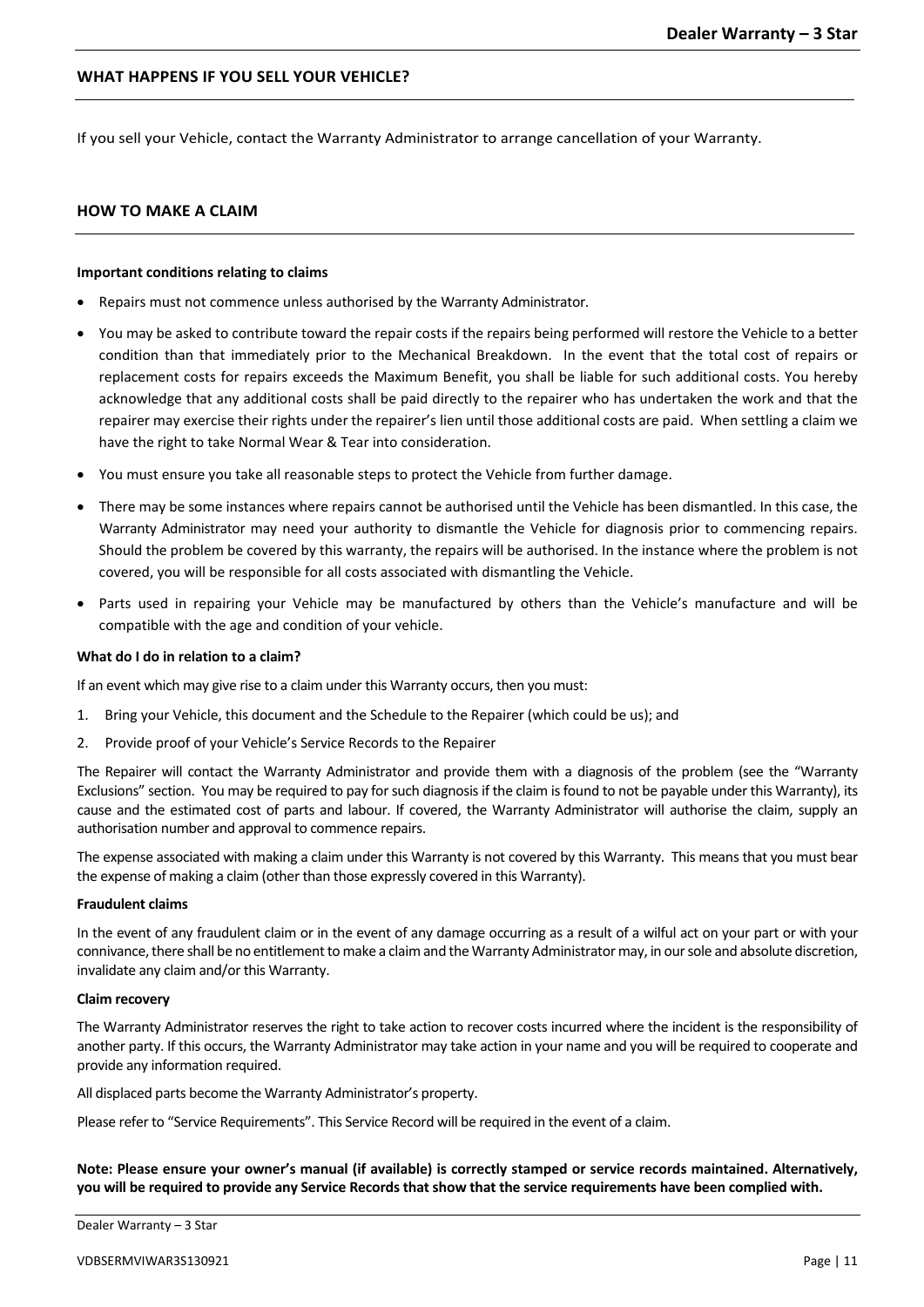# **WHAT HAPPENS IF YOU SELL YOUR VEHICLE?**

If you sell your Vehicle, contact the Warranty Administrator to arrange cancellation of your Warranty.

# **HOW TO MAKE A CLAIM**

### **Important conditions relating to claims**

- Repairs must not commence unless authorised by the Warranty Administrator.
- You may be asked to contribute toward the repair costs if the repairs being performed will restore the Vehicle to a better condition than that immediately prior to the Mechanical Breakdown. In the event that the total cost of repairs or replacement costs for repairs exceeds the Maximum Benefit, you shall be liable for such additional costs. You hereby acknowledge that any additional costs shall be paid directly to the repairer who has undertaken the work and that the repairer may exercise their rights under the repairer's lien until those additional costs are paid. When settling a claim we have the right to take Normal Wear & Tear into consideration.
- You must ensure you take all reasonable steps to protect the Vehicle from further damage.
- There may be some instances where repairs cannot be authorised until the Vehicle has been dismantled. In this case, the Warranty Administrator may need your authority to dismantle the Vehicle for diagnosis prior to commencing repairs. Should the problem be covered by this warranty, the repairs will be authorised. In the instance where the problem is not covered, you will be responsible for all costs associated with dismantling the Vehicle.
- Parts used in repairing your Vehicle may be manufactured by others than the Vehicle's manufacture and will be compatible with the age and condition of your vehicle.

#### **What do I do in relation to a claim?**

If an event which may give rise to a claim under this Warranty occurs, then you must:

- 1. Bring your Vehicle, this document and the Schedule to the Repairer (which could be us); and
- 2. Provide proof of your Vehicle's Service Records to the Repairer

The Repairer will contact the Warranty Administrator and provide them with a diagnosis of the problem (see the "Warranty Exclusions" section. You may be required to pay for such diagnosis if the claim is found to not be payable under this Warranty), its cause and the estimated cost of parts and labour. If covered, the Warranty Administrator will authorise the claim, supply an authorisation number and approval to commence repairs.

The expense associated with making a claim under this Warranty is not covered by this Warranty. This means that you must bear the expense of making a claim (other than those expressly covered in this Warranty).

#### **Fraudulent claims**

In the event of any fraudulent claim or in the event of any damage occurring as a result of a wilful act on your part or with your connivance, there shall be no entitlement to make a claim and the Warranty Administrator may, in our sole and absolute discretion, invalidate any claim and/or this Warranty.

#### **Claim recovery**

The Warranty Administrator reserves the right to take action to recover costs incurred where the incident is the responsibility of another party. If this occurs, the Warranty Administrator may take action in your name and you will be required to cooperate and provide any information required.

All displaced parts become the Warranty Administrator's property.

Please refer to "Service Requirements". This Service Record will be required in the event of a claim.

**Note: Please ensure your owner's manual (if available) is correctly stamped or service records maintained. Alternatively, you will be required to provide any Service Records that show that the service requirements have been complied with.**